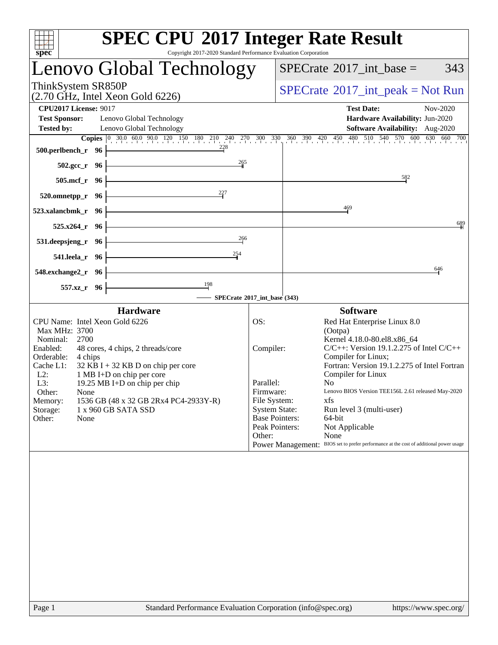| Copyright 2017-2020 Standard Performance Evaluation Corporation<br>spec <sup>®</sup> | <b>SPEC CPU®2017 Integer Rate Result</b>                                                                                                                                                     |
|--------------------------------------------------------------------------------------|----------------------------------------------------------------------------------------------------------------------------------------------------------------------------------------------|
| Lenovo Global Technology                                                             | $SPECTate$ <sup>®</sup> 2017_int_base =<br>343                                                                                                                                               |
| ThinkSystem SR850P<br>$(2.70 \text{ GHz}, \text{Intel Xeon Gold } 6226)$             | $SPECTate@2017_int\_peak = Not Run$                                                                                                                                                          |
| <b>CPU2017 License: 9017</b>                                                         | <b>Test Date:</b><br>Nov-2020                                                                                                                                                                |
| <b>Test Sponsor:</b><br>Lenovo Global Technology                                     | Hardware Availability: Jun-2020                                                                                                                                                              |
| <b>Tested by:</b><br>Lenovo Global Technology                                        | Software Availability: Aug-2020                                                                                                                                                              |
| 228<br>500.perlbench_r 96                                                            | <b>Copies</b> $\begin{bmatrix} 0 & 30.0 & 60.0 & 90.0 & 120 & 150 & 180 & 210 & 240 & 270 & 300 & 330 & 360 & 390 & 420 & 450 & 480 & 510 & 540 & 570 & 600 & 630 & 660 & 700 \end{bmatrix}$ |
| 265<br>502.gcc_r 96                                                                  |                                                                                                                                                                                              |
| 505.mcf_r 96                                                                         | 582                                                                                                                                                                                          |
| 227<br>$520.0$ mnetpp_r 96                                                           |                                                                                                                                                                                              |
| 523.xalancbmk_r<br>- 96                                                              | 469                                                                                                                                                                                          |
| 525.x264<br>- 96                                                                     | 689                                                                                                                                                                                          |
| 266<br>531.deepsjeng_r<br>- 96                                                       |                                                                                                                                                                                              |
| 254<br>541.leela_r 96                                                                |                                                                                                                                                                                              |
| 548.exchange2_r 96                                                                   | 646                                                                                                                                                                                          |
| $\frac{198}{ }$<br>557.xz_r 96                                                       |                                                                                                                                                                                              |
|                                                                                      | - SPECrate®2017_int_base (343)                                                                                                                                                               |
| <b>Hardware</b>                                                                      | <b>Software</b>                                                                                                                                                                              |
| CPU Name: Intel Xeon Gold 6226<br>Max MHz: 3700<br>2700<br>Nominal:                  | OS:<br>Red Hat Enterprise Linux 8.0<br>(Ootpa)<br>Kernel 4.18.0-80.el8.x86_64                                                                                                                |
| Enabled:<br>48 cores, 4 chips, 2 threads/core<br>Orderable:<br>4 chips               | $C/C++$ : Version 19.1.2.275 of Intel $C/C++$<br>Compiler:<br>Compiler for Linux;                                                                                                            |
| Cache L1:<br>$32$ KB I + 32 KB D on chip per core                                    | Fortran: Version 19.1.2.275 of Intel Fortran                                                                                                                                                 |
| 1 MB I+D on chip per core<br>$L2$ :<br>L3:<br>19.25 MB I+D on chip per chip          | Compiler for Linux<br>Parallel:<br>N <sub>0</sub>                                                                                                                                            |
| Other:<br>None                                                                       | Lenovo BIOS Version TEE156L 2.61 released May-2020<br>Firmware:                                                                                                                              |
| 1536 GB (48 x 32 GB 2Rx4 PC4-2933Y-R)<br>Memory:<br>Storage:<br>1 x 960 GB SATA SSD  | File System:<br>xfs<br><b>System State:</b><br>Run level 3 (multi-user)                                                                                                                      |
| Other:<br>None                                                                       | <b>Base Pointers:</b><br>64-bit                                                                                                                                                              |
|                                                                                      | Peak Pointers:<br>Not Applicable<br>Other:<br>None                                                                                                                                           |
|                                                                                      | Power Management: BIOS set to prefer performance at the cost of additional power usage                                                                                                       |
|                                                                                      |                                                                                                                                                                                              |
|                                                                                      |                                                                                                                                                                                              |
|                                                                                      |                                                                                                                                                                                              |
|                                                                                      |                                                                                                                                                                                              |
|                                                                                      |                                                                                                                                                                                              |
|                                                                                      |                                                                                                                                                                                              |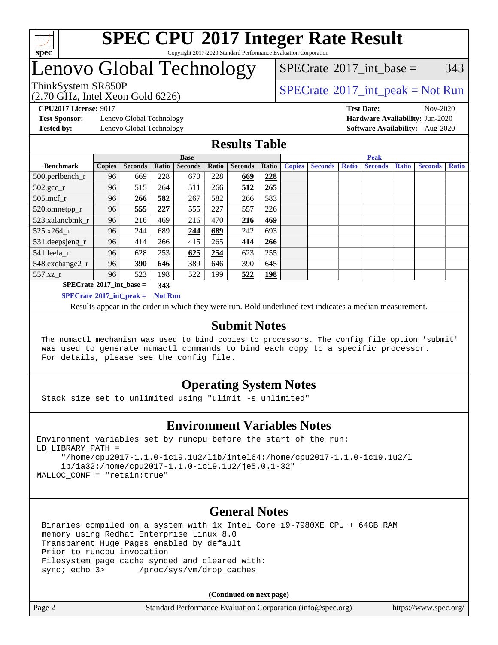

#### **[SPEC CPU](http://www.spec.org/auto/cpu2017/Docs/result-fields.html#SPECCPU2017IntegerRateResult)[2017 Integer Rate Result](http://www.spec.org/auto/cpu2017/Docs/result-fields.html#SPECCPU2017IntegerRateResult)** Copyright 2017-2020 Standard Performance Evaluation Corporation

### Lenovo Global Technology

(2.70 GHz, Intel Xeon Gold 6226)

ThinkSystem SR850P<br>  $(2.70 \text{ GHz. Intel Yes} \cdot \text{Cold } 6226)$  [SPECrate](http://www.spec.org/auto/cpu2017/Docs/result-fields.html#SPECrate2017intpeak)®[2017\\_int\\_peak = N](http://www.spec.org/auto/cpu2017/Docs/result-fields.html#SPECrate2017intpeak)ot Run [SPECrate](http://www.spec.org/auto/cpu2017/Docs/result-fields.html#SPECrate2017intbase)<sup>®</sup>2017 int base =  $343$ 

**[Test Sponsor:](http://www.spec.org/auto/cpu2017/Docs/result-fields.html#TestSponsor)** Lenovo Global Technology **[Hardware Availability:](http://www.spec.org/auto/cpu2017/Docs/result-fields.html#HardwareAvailability)** Jun-2020

**[CPU2017 License:](http://www.spec.org/auto/cpu2017/Docs/result-fields.html#CPU2017License)** 9017 **[Test Date:](http://www.spec.org/auto/cpu2017/Docs/result-fields.html#TestDate)** Nov-2020 **[Tested by:](http://www.spec.org/auto/cpu2017/Docs/result-fields.html#Testedby)** Lenovo Global Technology **[Software Availability:](http://www.spec.org/auto/cpu2017/Docs/result-fields.html#SoftwareAvailability)** Aug-2020

#### **[Results Table](http://www.spec.org/auto/cpu2017/Docs/result-fields.html#ResultsTable)**

|                                   | <b>Base</b>   |                |                |                |       | <b>Peak</b>    |            |               |                |              |                |              |                |              |
|-----------------------------------|---------------|----------------|----------------|----------------|-------|----------------|------------|---------------|----------------|--------------|----------------|--------------|----------------|--------------|
| <b>Benchmark</b>                  | <b>Copies</b> | <b>Seconds</b> | Ratio          | <b>Seconds</b> | Ratio | <b>Seconds</b> | Ratio      | <b>Copies</b> | <b>Seconds</b> | <b>Ratio</b> | <b>Seconds</b> | <b>Ratio</b> | <b>Seconds</b> | <b>Ratio</b> |
| 500.perlbench_r                   | 96            | 669            | 228            | 670            | 228   | 669            | 228        |               |                |              |                |              |                |              |
| $502.\text{gcc}_r$                | 96            | 515            | 264            | 511            | 266   | 512            | 265        |               |                |              |                |              |                |              |
| $505$ .mcf r                      | 96            | 266            | 582            | 267            | 582   | 266            | 583        |               |                |              |                |              |                |              |
| 520.omnetpp_r                     | 96            | 555            | 227            | 555            | 227   | 557            | 226        |               |                |              |                |              |                |              |
| 523.xalancbmk_r                   | 96            | 216            | 469            | 216            | 470   | 216            | 469        |               |                |              |                |              |                |              |
| 525.x264 r                        | 96            | 244            | 689            | 244            | 689   | 242            | 693        |               |                |              |                |              |                |              |
| 531.deepsjeng_r                   | 96            | 414            | 266            | 415            | 265   | 414            | 266        |               |                |              |                |              |                |              |
| 541.leela r                       | 96            | 628            | 253            | 625            | 254   | 623            | 255        |               |                |              |                |              |                |              |
| 548.exchange2_r                   | 96            | 390            | 646            | 389            | 646   | 390            | 645        |               |                |              |                |              |                |              |
| 557.xz r                          | 96            | 523            | 198            | 522            | 199   | 522            | <b>198</b> |               |                |              |                |              |                |              |
| $SPECrate^{\circ}2017$ int base = |               |                | 343            |                |       |                |            |               |                |              |                |              |                |              |
| $SPECrate^{\circ}2017$ int peak = |               |                | <b>Not Run</b> |                |       |                |            |               |                |              |                |              |                |              |

Results appear in the [order in which they were run](http://www.spec.org/auto/cpu2017/Docs/result-fields.html#RunOrder). Bold underlined text [indicates a median measurement](http://www.spec.org/auto/cpu2017/Docs/result-fields.html#Median).

#### **[Submit Notes](http://www.spec.org/auto/cpu2017/Docs/result-fields.html#SubmitNotes)**

 The numactl mechanism was used to bind copies to processors. The config file option 'submit' was used to generate numactl commands to bind each copy to a specific processor. For details, please see the config file.

#### **[Operating System Notes](http://www.spec.org/auto/cpu2017/Docs/result-fields.html#OperatingSystemNotes)**

Stack size set to unlimited using "ulimit -s unlimited"

#### **[Environment Variables Notes](http://www.spec.org/auto/cpu2017/Docs/result-fields.html#EnvironmentVariablesNotes)**

```
Environment variables set by runcpu before the start of the run:
LD_LIBRARY_PATH =
      "/home/cpu2017-1.1.0-ic19.1u2/lib/intel64:/home/cpu2017-1.1.0-ic19.1u2/l
      ib/ia32:/home/cpu2017-1.1.0-ic19.1u2/je5.0.1-32"
MALLOC_CONF = "retain:true"
```
#### **[General Notes](http://www.spec.org/auto/cpu2017/Docs/result-fields.html#GeneralNotes)**

 Binaries compiled on a system with 1x Intel Core i9-7980XE CPU + 64GB RAM memory using Redhat Enterprise Linux 8.0 Transparent Huge Pages enabled by default Prior to runcpu invocation Filesystem page cache synced and cleared with: sync; echo 3> /proc/sys/vm/drop\_caches

**(Continued on next page)**

| Page 2 | Standard Performance Evaluation Corporation (info@spec.org) | https://www.spec.org/ |
|--------|-------------------------------------------------------------|-----------------------|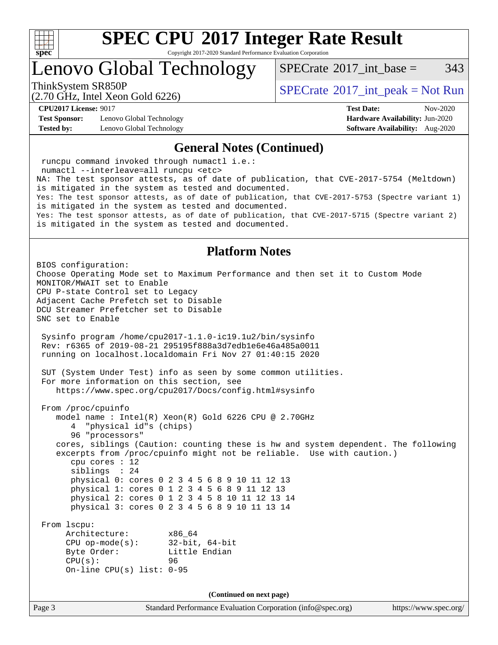

Copyright 2017-2020 Standard Performance Evaluation Corporation

Lenovo Global Technology

 $SPECTate^{\circ}2017$  int base = 343

(2.70 GHz, Intel Xeon Gold 6226)

ThinkSystem SR850P<br>  $SPECTR_{12}$  [SPECrate](http://www.spec.org/auto/cpu2017/Docs/result-fields.html#SPECrate2017intpeak)®[2017\\_int\\_peak = N](http://www.spec.org/auto/cpu2017/Docs/result-fields.html#SPECrate2017intpeak)ot Run

**[CPU2017 License:](http://www.spec.org/auto/cpu2017/Docs/result-fields.html#CPU2017License)** 9017 **[Test Date:](http://www.spec.org/auto/cpu2017/Docs/result-fields.html#TestDate)** Nov-2020

**[Test Sponsor:](http://www.spec.org/auto/cpu2017/Docs/result-fields.html#TestSponsor)** Lenovo Global Technology **[Hardware Availability:](http://www.spec.org/auto/cpu2017/Docs/result-fields.html#HardwareAvailability)** Jun-2020 **[Tested by:](http://www.spec.org/auto/cpu2017/Docs/result-fields.html#Testedby)** Lenovo Global Technology **[Software Availability:](http://www.spec.org/auto/cpu2017/Docs/result-fields.html#SoftwareAvailability)** Aug-2020

### **[General Notes \(Continued\)](http://www.spec.org/auto/cpu2017/Docs/result-fields.html#GeneralNotes)**

 runcpu command invoked through numactl i.e.: numactl --interleave=all runcpu <etc> NA: The test sponsor attests, as of date of publication, that CVE-2017-5754 (Meltdown) is mitigated in the system as tested and documented. Yes: The test sponsor attests, as of date of publication, that CVE-2017-5753 (Spectre variant 1) is mitigated in the system as tested and documented. Yes: The test sponsor attests, as of date of publication, that CVE-2017-5715 (Spectre variant 2) is mitigated in the system as tested and documented.

#### **[Platform Notes](http://www.spec.org/auto/cpu2017/Docs/result-fields.html#PlatformNotes)**

Page 3 Standard Performance Evaluation Corporation [\(info@spec.org\)](mailto:info@spec.org) <https://www.spec.org/> BIOS configuration: Choose Operating Mode set to Maximum Performance and then set it to Custom Mode MONITOR/MWAIT set to Enable CPU P-state Control set to Legacy Adjacent Cache Prefetch set to Disable DCU Streamer Prefetcher set to Disable SNC set to Enable Sysinfo program /home/cpu2017-1.1.0-ic19.1u2/bin/sysinfo Rev: r6365 of 2019-08-21 295195f888a3d7edb1e6e46a485a0011 running on localhost.localdomain Fri Nov 27 01:40:15 2020 SUT (System Under Test) info as seen by some common utilities. For more information on this section, see <https://www.spec.org/cpu2017/Docs/config.html#sysinfo> From /proc/cpuinfo model name : Intel(R) Xeon(R) Gold 6226 CPU @ 2.70GHz 4 "physical id"s (chips) 96 "processors" cores, siblings (Caution: counting these is hw and system dependent. The following excerpts from /proc/cpuinfo might not be reliable. Use with caution.) cpu cores : 12 siblings : 24 physical 0: cores 0 2 3 4 5 6 8 9 10 11 12 13 physical 1: cores 0 1 2 3 4 5 6 8 9 11 12 13 physical 2: cores 0 1 2 3 4 5 8 10 11 12 13 14 physical 3: cores 0 2 3 4 5 6 8 9 10 11 13 14 From lscpu: Architecture: x86\_64 CPU op-mode(s): 32-bit, 64-bit Byte Order: Little Endian  $CPU(s):$  96 On-line CPU(s) list: 0-95 **(Continued on next page)**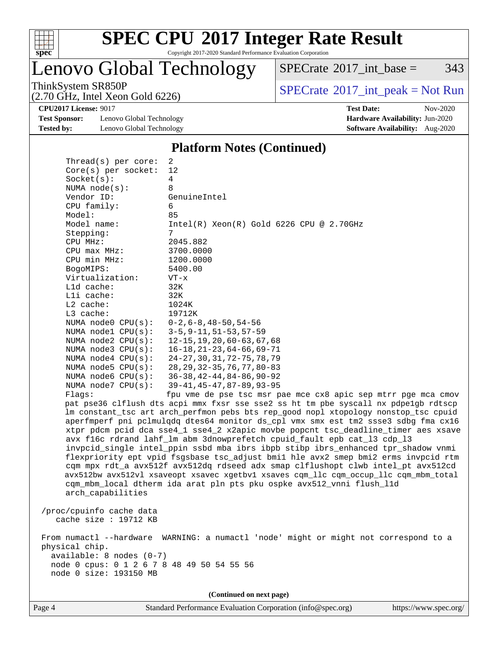

Copyright 2017-2020 Standard Performance Evaluation Corporation

### Lenovo Global Technology

 $SPECTate@2017_int\_base = 343$ 

(2.70 GHz, Intel Xeon Gold 6226)

ThinkSystem SR850P<br>  $(2.70 \text{ GHz})$  Intel Xeon Gold 6226)

**[Test Sponsor:](http://www.spec.org/auto/cpu2017/Docs/result-fields.html#TestSponsor)** Lenovo Global Technology **[Hardware Availability:](http://www.spec.org/auto/cpu2017/Docs/result-fields.html#HardwareAvailability)** Jun-2020 **[Tested by:](http://www.spec.org/auto/cpu2017/Docs/result-fields.html#Testedby)** Lenovo Global Technology **[Software Availability:](http://www.spec.org/auto/cpu2017/Docs/result-fields.html#SoftwareAvailability)** Aug-2020

**[CPU2017 License:](http://www.spec.org/auto/cpu2017/Docs/result-fields.html#CPU2017License)** 9017 **[Test Date:](http://www.spec.org/auto/cpu2017/Docs/result-fields.html#TestDate)** Nov-2020

#### **[Platform Notes \(Continued\)](http://www.spec.org/auto/cpu2017/Docs/result-fields.html#PlatformNotes)**

| Thread( $s$ ) per core:                    | 2                                                                                    |
|--------------------------------------------|--------------------------------------------------------------------------------------|
| Core(s) per socket:                        | 12                                                                                   |
| Socket(s):                                 | 4                                                                                    |
| NUMA $node(s):$                            | 8                                                                                    |
| Vendor ID:                                 | GenuineIntel                                                                         |
| CPU family:                                | 6                                                                                    |
| Model:                                     | 85                                                                                   |
| Model name:                                | $Intel(R)$ Xeon $(R)$ Gold 6226 CPU @ 2.70GHz                                        |
| Stepping:                                  | 7                                                                                    |
| CPU MHz:                                   | 2045.882                                                                             |
| $CPU$ max $MHz$ :                          | 3700.0000                                                                            |
| CPU min MHz:                               | 1200.0000                                                                            |
| BogoMIPS:                                  | 5400.00                                                                              |
| Virtualization:                            | $VT - x$                                                                             |
| L1d cache:                                 | 32K                                                                                  |
| Lli cache:                                 | 32K                                                                                  |
| $L2$ cache:                                | 1024K                                                                                |
| L3 cache:                                  | 19712K                                                                               |
| NUMA node0 CPU(s):                         | $0-2, 6-8, 48-50, 54-56$                                                             |
| NUMA nodel CPU(s):                         | $3 - 5, 9 - 11, 51 - 53, 57 - 59$                                                    |
| NUMA $node2$ $CPU(s)$ :                    | $12 - 15, 19, 20, 60 - 63, 67, 68$                                                   |
| NUMA $node3$ CPU $(s)$ :                   | $16 - 18, 21 - 23, 64 - 66, 69 - 71$                                                 |
| NUMA $node4$ $CPU(s):$                     | 24-27, 30, 31, 72-75, 78, 79                                                         |
| NUMA $node5$ $CPU(s):$                     | 28, 29, 32-35, 76, 77, 80-83                                                         |
| NUMA node6 $CPU(s):$                       | $36 - 38, 42 - 44, 84 - 86, 90 - 92$                                                 |
| NUMA $node7$ CPU $(s)$ :                   | 39-41, 45-47, 87-89, 93-95                                                           |
| Flaqs:                                     | fpu vme de pse tsc msr pae mce cx8 apic sep mtrr pge mca cmov                        |
|                                            | pat pse36 clflush dts acpi mmx fxsr sse sse2 ss ht tm pbe syscall nx pdpe1gb rdtscp  |
|                                            | lm constant_tsc art arch_perfmon pebs bts rep_good nopl xtopology nonstop_tsc cpuid  |
|                                            | aperfmperf pni pclmulqdq dtes64 monitor ds_cpl vmx smx est tm2 ssse3 sdbg fma cx16   |
|                                            | xtpr pdcm pcid dca sse4_1 sse4_2 x2apic movbe popcnt tsc_deadline_timer aes xsave    |
|                                            | avx f16c rdrand lahf_lm abm 3dnowprefetch cpuid_fault epb cat_13 cdp_13              |
|                                            | invpcid_single intel_ppin ssbd mba ibrs ibpb stibp ibrs_enhanced tpr_shadow vnmi     |
|                                            | flexpriority ept vpid fsgsbase tsc_adjust bmil hle avx2 smep bmi2 erms invpcid rtm   |
|                                            | cqm mpx rdt_a avx512f avx512dq rdseed adx smap clflushopt clwb intel_pt avx512cd     |
|                                            | avx512bw avx512vl xsaveopt xsavec xgetbvl xsaves cqm_llc cqm_occup_llc cqm_mbm_total |
|                                            | cqm_mbm_local dtherm ida arat pln pts pku ospke avx512_vnni flush_lld                |
| arch_capabilities                          |                                                                                      |
|                                            |                                                                                      |
| /proc/cpuinfo cache data                   |                                                                                      |
| cache size : 19712 KB                      |                                                                                      |
|                                            |                                                                                      |
|                                            | From numactl --hardware WARNING: a numactl 'node' might or might not correspond to a |
| physical chip.                             |                                                                                      |
| $available: 8 nodes (0-7)$                 |                                                                                      |
| node 0 cpus: 0 1 2 6 7 8 48 49 50 54 55 56 |                                                                                      |
| node 0 size: 193150 MB                     |                                                                                      |
|                                            |                                                                                      |
|                                            | (Continued on next page)                                                             |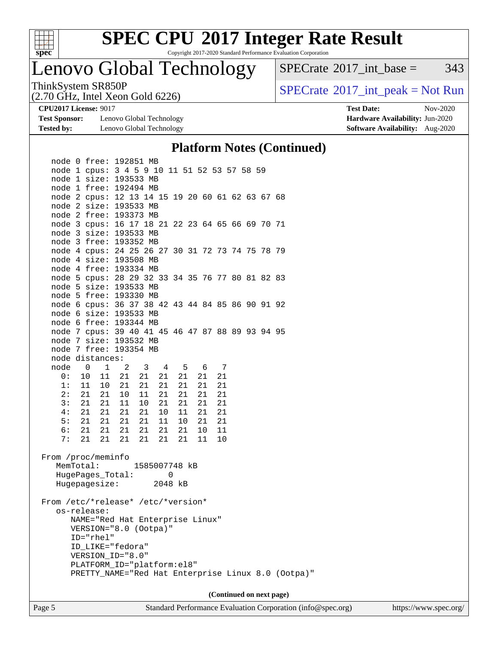

Copyright 2017-2020 Standard Performance Evaluation Corporation

### Lenovo Global Technology

 $SPECTate$ <sup>®</sup>[2017\\_int\\_base =](http://www.spec.org/auto/cpu2017/Docs/result-fields.html#SPECrate2017intbase) 343

(2.70 GHz, Intel Xeon Gold 6226)

ThinkSystem SR850P<br>  $(2.70 \text{ GHz})$  Intel Xeon Gold 6226)

**[Test Sponsor:](http://www.spec.org/auto/cpu2017/Docs/result-fields.html#TestSponsor)** Lenovo Global Technology **[Hardware Availability:](http://www.spec.org/auto/cpu2017/Docs/result-fields.html#HardwareAvailability)** Jun-2020 **[Tested by:](http://www.spec.org/auto/cpu2017/Docs/result-fields.html#Testedby)** Lenovo Global Technology **[Software Availability:](http://www.spec.org/auto/cpu2017/Docs/result-fields.html#SoftwareAvailability)** Aug-2020

**[CPU2017 License:](http://www.spec.org/auto/cpu2017/Docs/result-fields.html#CPU2017License)** 9017 **[Test Date:](http://www.spec.org/auto/cpu2017/Docs/result-fields.html#TestDate)** Nov-2020

#### **[Platform Notes \(Continued\)](http://www.spec.org/auto/cpu2017/Docs/result-fields.html#PlatformNotes)**

| node 1 cpus: 3 4 5 9 10 11 51 52 53 57 58 59                                                                                                |  |
|---------------------------------------------------------------------------------------------------------------------------------------------|--|
| node 1 size: 193533 MB                                                                                                                      |  |
| node 1 free: 192494 MB                                                                                                                      |  |
| node 2 cpus: 12 13 14 15 19 20 60 61 62 63 67 68                                                                                            |  |
| node 2 size: 193533 MB                                                                                                                      |  |
| node 2 free: 193373 MB                                                                                                                      |  |
| node 3 cpus: 16 17 18 21 22 23 64 65 66 69 70 71                                                                                            |  |
| node 3 size: 193533 MB                                                                                                                      |  |
| node 3 free: 193352 MB                                                                                                                      |  |
| node 4 cpus: 24 25 26 27 30 31 72 73 74 75 78 79                                                                                            |  |
| node 4 size: 193508 MB                                                                                                                      |  |
| node 4 free: 193334 MB                                                                                                                      |  |
| node 5 cpus: 28 29 32 33 34 35 76 77 80 81 82 83                                                                                            |  |
| node 5 size: 193533 MB                                                                                                                      |  |
| node 5 free: 193330 MB                                                                                                                      |  |
| node 6 cpus: 36 37 38 42 43 44 84 85 86 90 91 92                                                                                            |  |
| node 6 size: 193533 MB                                                                                                                      |  |
| node 6 free: 193344 MB                                                                                                                      |  |
| node 7 cpus: 39 40 41 45 46 47 87 88 89 93 94 95                                                                                            |  |
| node 7 size: 193532 MB                                                                                                                      |  |
| node 7 free: 193354 MB                                                                                                                      |  |
| node distances:                                                                                                                             |  |
| node 0 1 2<br>$3 \t 4$<br>5 6<br>7                                                                                                          |  |
| 21<br>21<br>21<br>21<br>0 :<br>10<br>11<br>21<br>21                                                                                         |  |
| 1:<br>11<br>10 <sup>1</sup><br>21<br>21<br>21<br>21<br>21<br>21                                                                             |  |
| 2:<br>21<br>21<br>21<br>21<br>21<br>10<br>11<br>21                                                                                          |  |
| 3:<br>21<br>21<br>11<br>21<br>21<br>21<br>21<br>10                                                                                          |  |
| 4:<br>21<br>21<br>21<br>21<br>10<br>11<br>21<br>- 21                                                                                        |  |
| 5:<br>21<br>21<br>21<br>21<br>21<br>21 11<br>10 <sup>1</sup>                                                                                |  |
| 21<br>21<br>21<br>6:<br>21<br>21<br>21<br>10 <sup>°</sup><br>- 11                                                                           |  |
| 21<br>21<br>21<br>7:<br>21<br>21<br>21<br>11<br>10                                                                                          |  |
| From /proc/meminfo<br>MemTotal:<br>1585007748 kB<br>HugePages_Total:<br>0<br>Hugepagesize:<br>2048 kB<br>From /etc/*release* /etc/*version* |  |
| os-release:                                                                                                                                 |  |
| NAME="Red Hat Enterprise Linux"<br>VERSION="8.0 (Ootpa)"                                                                                    |  |
| $ID="rhe1"$                                                                                                                                 |  |
| ID_LIKE="fedora"                                                                                                                            |  |
| VERSION_ID="8.0"                                                                                                                            |  |
| PLATFORM_ID="platform:el8"                                                                                                                  |  |
| PRETTY_NAME="Red Hat Enterprise Linux 8.0 (Ootpa)"                                                                                          |  |
|                                                                                                                                             |  |
| (Continued on next page)                                                                                                                    |  |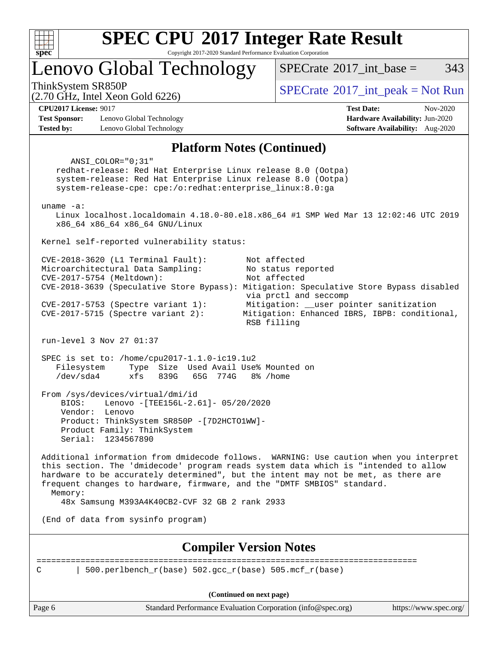

Copyright 2017-2020 Standard Performance Evaluation Corporation

Lenovo Global Technology

 $SPECTate@2017$  int base = 343

(2.70 GHz, Intel Xeon Gold 6226)

 $SPECTate$ <sup>®</sup>[2017\\_int\\_peak = N](http://www.spec.org/auto/cpu2017/Docs/result-fields.html#SPECrate2017intpeak)ot Run

**[CPU2017 License:](http://www.spec.org/auto/cpu2017/Docs/result-fields.html#CPU2017License)** 9017 **[Test Date:](http://www.spec.org/auto/cpu2017/Docs/result-fields.html#TestDate)** Nov-2020

**[Test Sponsor:](http://www.spec.org/auto/cpu2017/Docs/result-fields.html#TestSponsor)** Lenovo Global Technology **[Hardware Availability:](http://www.spec.org/auto/cpu2017/Docs/result-fields.html#HardwareAvailability)** Jun-2020 **[Tested by:](http://www.spec.org/auto/cpu2017/Docs/result-fields.html#Testedby)** Lenovo Global Technology **[Software Availability:](http://www.spec.org/auto/cpu2017/Docs/result-fields.html#SoftwareAvailability)** Aug-2020

#### **[Platform Notes \(Continued\)](http://www.spec.org/auto/cpu2017/Docs/result-fields.html#PlatformNotes)**

Page 6 Standard Performance Evaluation Corporation [\(info@spec.org\)](mailto:info@spec.org) <https://www.spec.org/> ANSI\_COLOR="0;31" redhat-release: Red Hat Enterprise Linux release 8.0 (Ootpa) system-release: Red Hat Enterprise Linux release 8.0 (Ootpa) system-release-cpe: cpe:/o:redhat:enterprise\_linux:8.0:ga uname -a: Linux localhost.localdomain 4.18.0-80.el8.x86\_64 #1 SMP Wed Mar 13 12:02:46 UTC 2019 x86\_64 x86\_64 x86\_64 GNU/Linux Kernel self-reported vulnerability status: CVE-2018-3620 (L1 Terminal Fault): Not affected Microarchitectural Data Sampling: No status reported CVE-2017-5754 (Meltdown): Not affected CVE-2018-3639 (Speculative Store Bypass): Mitigation: Speculative Store Bypass disabled via prctl and seccomp CVE-2017-5753 (Spectre variant 1): Mitigation: \_\_user pointer sanitization CVE-2017-5715 (Spectre variant 2): Mitigation: Enhanced IBRS, IBPB: conditional, RSB filling run-level 3 Nov 27 01:37 SPEC is set to: /home/cpu2017-1.1.0-ic19.1u2 Filesystem Type Size Used Avail Use% Mounted on /dev/sda4 xfs 839G 65G 774G 8% /home From /sys/devices/virtual/dmi/id BIOS: Lenovo -[TEE156L-2.61]- 05/20/2020 Vendor: Lenovo Product: ThinkSystem SR850P -[7D2HCTO1WW]- Product Family: ThinkSystem Serial: 1234567890 Additional information from dmidecode follows. WARNING: Use caution when you interpret this section. The 'dmidecode' program reads system data which is "intended to allow hardware to be accurately determined", but the intent may not be met, as there are frequent changes to hardware, firmware, and the "DMTF SMBIOS" standard. Memory: 48x Samsung M393A4K40CB2-CVF 32 GB 2 rank 2933 (End of data from sysinfo program) **[Compiler Version Notes](http://www.spec.org/auto/cpu2017/Docs/result-fields.html#CompilerVersionNotes)** ============================================================================== C | 500.perlbench r(base) 502.gcc r(base) 505.mcf r(base) **(Continued on next page)**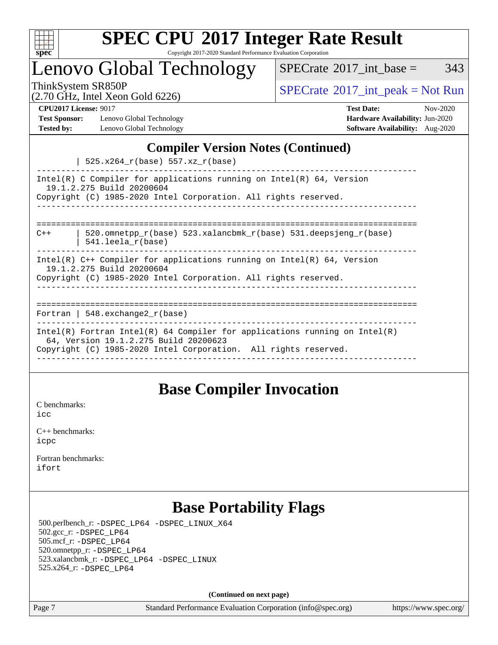

Copyright 2017-2020 Standard Performance Evaluation Corporation

Lenovo Global Technology

 $SPECTate$ <sup>®</sup>[2017\\_int\\_base =](http://www.spec.org/auto/cpu2017/Docs/result-fields.html#SPECrate2017intbase) 343

(2.70 GHz, Intel Xeon Gold 6226)

ThinkSystem SR850P<br>  $(2.70 \text{ GHz}_{\text{1.1}})$  [SPECrate](http://www.spec.org/auto/cpu2017/Docs/result-fields.html#SPECrate2017intpeak)®[2017\\_int\\_peak = N](http://www.spec.org/auto/cpu2017/Docs/result-fields.html#SPECrate2017intpeak)ot Run

**[Test Sponsor:](http://www.spec.org/auto/cpu2017/Docs/result-fields.html#TestSponsor)** Lenovo Global Technology **[Hardware Availability:](http://www.spec.org/auto/cpu2017/Docs/result-fields.html#HardwareAvailability)** Jun-2020 **[Tested by:](http://www.spec.org/auto/cpu2017/Docs/result-fields.html#Testedby)** Lenovo Global Technology **[Software Availability:](http://www.spec.org/auto/cpu2017/Docs/result-fields.html#SoftwareAvailability)** Aug-2020

**[CPU2017 License:](http://www.spec.org/auto/cpu2017/Docs/result-fields.html#CPU2017License)** 9017 **[Test Date:](http://www.spec.org/auto/cpu2017/Docs/result-fields.html#TestDate)** Nov-2020

#### **[Compiler Version Notes \(Continued\)](http://www.spec.org/auto/cpu2017/Docs/result-fields.html#CompilerVersionNotes)**

 $|$  525  $x264$   $x/b$ 200) 557 $x$ z

| I BAD. AZU HILDASE I DUNIT POSA.CAC                                                                                   |  |  |  |  |
|-----------------------------------------------------------------------------------------------------------------------|--|--|--|--|
| Intel(R) C Compiler for applications running on Intel(R) $64$ , Version<br>19.1.2.275 Build 20200604                  |  |  |  |  |
| Copyright (C) 1985-2020 Intel Corporation. All rights reserved.                                                       |  |  |  |  |
|                                                                                                                       |  |  |  |  |
|                                                                                                                       |  |  |  |  |
| 520.omnetpp $r(base)$ 523.xalancbmk $r(base)$ 531.deepsjeng $r(base)$<br>$C++$<br>$541.$ leela r(base)                |  |  |  |  |
|                                                                                                                       |  |  |  |  |
| Intel(R) $C++$ Compiler for applications running on Intel(R) 64, Version                                              |  |  |  |  |
| 19.1.2.275 Build 20200604                                                                                             |  |  |  |  |
| Copyright (C) 1985-2020 Intel Corporation. All rights reserved.                                                       |  |  |  |  |
|                                                                                                                       |  |  |  |  |
|                                                                                                                       |  |  |  |  |
| Fortran   548.exchange2 $r(base)$                                                                                     |  |  |  |  |
|                                                                                                                       |  |  |  |  |
| Intel(R) Fortran Intel(R) 64 Compiler for applications running on $Intel(R)$<br>64, Version 19.1.2.275 Build 20200623 |  |  |  |  |
| Copyright (C) 1985-2020 Intel Corporation. All rights reserved.                                                       |  |  |  |  |
|                                                                                                                       |  |  |  |  |

### **[Base Compiler Invocation](http://www.spec.org/auto/cpu2017/Docs/result-fields.html#BaseCompilerInvocation)**

[C benchmarks](http://www.spec.org/auto/cpu2017/Docs/result-fields.html#Cbenchmarks): [icc](http://www.spec.org/cpu2017/results/res2020q4/cpu2017-20201207-24517.flags.html#user_CCbase_intel_icc_66fc1ee009f7361af1fbd72ca7dcefbb700085f36577c54f309893dd4ec40d12360134090235512931783d35fd58c0460139e722d5067c5574d8eaf2b3e37e92)

[C++ benchmarks:](http://www.spec.org/auto/cpu2017/Docs/result-fields.html#CXXbenchmarks) [icpc](http://www.spec.org/cpu2017/results/res2020q4/cpu2017-20201207-24517.flags.html#user_CXXbase_intel_icpc_c510b6838c7f56d33e37e94d029a35b4a7bccf4766a728ee175e80a419847e808290a9b78be685c44ab727ea267ec2f070ec5dc83b407c0218cded6866a35d07)

[Fortran benchmarks](http://www.spec.org/auto/cpu2017/Docs/result-fields.html#Fortranbenchmarks): [ifort](http://www.spec.org/cpu2017/results/res2020q4/cpu2017-20201207-24517.flags.html#user_FCbase_intel_ifort_8111460550e3ca792625aed983ce982f94888b8b503583aa7ba2b8303487b4d8a21a13e7191a45c5fd58ff318f48f9492884d4413fa793fd88dd292cad7027ca)

### **[Base Portability Flags](http://www.spec.org/auto/cpu2017/Docs/result-fields.html#BasePortabilityFlags)**

 500.perlbench\_r: [-DSPEC\\_LP64](http://www.spec.org/cpu2017/results/res2020q4/cpu2017-20201207-24517.flags.html#b500.perlbench_r_basePORTABILITY_DSPEC_LP64) [-DSPEC\\_LINUX\\_X64](http://www.spec.org/cpu2017/results/res2020q4/cpu2017-20201207-24517.flags.html#b500.perlbench_r_baseCPORTABILITY_DSPEC_LINUX_X64) 502.gcc\_r: [-DSPEC\\_LP64](http://www.spec.org/cpu2017/results/res2020q4/cpu2017-20201207-24517.flags.html#suite_basePORTABILITY502_gcc_r_DSPEC_LP64) 505.mcf\_r: [-DSPEC\\_LP64](http://www.spec.org/cpu2017/results/res2020q4/cpu2017-20201207-24517.flags.html#suite_basePORTABILITY505_mcf_r_DSPEC_LP64) 520.omnetpp\_r: [-DSPEC\\_LP64](http://www.spec.org/cpu2017/results/res2020q4/cpu2017-20201207-24517.flags.html#suite_basePORTABILITY520_omnetpp_r_DSPEC_LP64) 523.xalancbmk\_r: [-DSPEC\\_LP64](http://www.spec.org/cpu2017/results/res2020q4/cpu2017-20201207-24517.flags.html#suite_basePORTABILITY523_xalancbmk_r_DSPEC_LP64) [-DSPEC\\_LINUX](http://www.spec.org/cpu2017/results/res2020q4/cpu2017-20201207-24517.flags.html#b523.xalancbmk_r_baseCXXPORTABILITY_DSPEC_LINUX) 525.x264\_r: [-DSPEC\\_LP64](http://www.spec.org/cpu2017/results/res2020q4/cpu2017-20201207-24517.flags.html#suite_basePORTABILITY525_x264_r_DSPEC_LP64)

**(Continued on next page)**

Page 7 Standard Performance Evaluation Corporation [\(info@spec.org\)](mailto:info@spec.org) <https://www.spec.org/>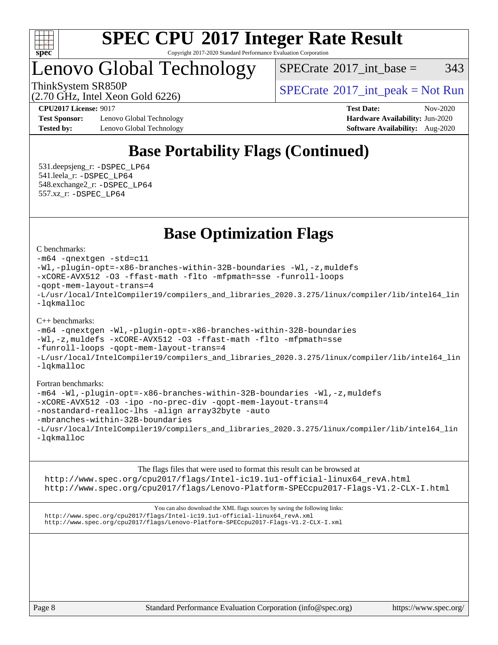

Copyright 2017-2020 Standard Performance Evaluation Corporation

### Lenovo Global Technology

 $SPECTate^{\circ}2017\_int\_base = 343$ 

(2.70 GHz, Intel Xeon Gold 6226)

ThinkSystem SR850P<br>  $SPECTI<sub>2</sub>100017$  int\_peak = Not Run

**[Test Sponsor:](http://www.spec.org/auto/cpu2017/Docs/result-fields.html#TestSponsor)** Lenovo Global Technology **[Hardware Availability:](http://www.spec.org/auto/cpu2017/Docs/result-fields.html#HardwareAvailability)** Jun-2020 **[Tested by:](http://www.spec.org/auto/cpu2017/Docs/result-fields.html#Testedby)** Lenovo Global Technology **[Software Availability:](http://www.spec.org/auto/cpu2017/Docs/result-fields.html#SoftwareAvailability)** Aug-2020

**[CPU2017 License:](http://www.spec.org/auto/cpu2017/Docs/result-fields.html#CPU2017License)** 9017 **[Test Date:](http://www.spec.org/auto/cpu2017/Docs/result-fields.html#TestDate)** Nov-2020

### **[Base Portability Flags \(Continued\)](http://www.spec.org/auto/cpu2017/Docs/result-fields.html#BasePortabilityFlags)**

 531.deepsjeng\_r: [-DSPEC\\_LP64](http://www.spec.org/cpu2017/results/res2020q4/cpu2017-20201207-24517.flags.html#suite_basePORTABILITY531_deepsjeng_r_DSPEC_LP64) 541.leela\_r: [-DSPEC\\_LP64](http://www.spec.org/cpu2017/results/res2020q4/cpu2017-20201207-24517.flags.html#suite_basePORTABILITY541_leela_r_DSPEC_LP64) 548.exchange2\_r: [-DSPEC\\_LP64](http://www.spec.org/cpu2017/results/res2020q4/cpu2017-20201207-24517.flags.html#suite_basePORTABILITY548_exchange2_r_DSPEC_LP64) 557.xz\_r: [-DSPEC\\_LP64](http://www.spec.org/cpu2017/results/res2020q4/cpu2017-20201207-24517.flags.html#suite_basePORTABILITY557_xz_r_DSPEC_LP64)

### **[Base Optimization Flags](http://www.spec.org/auto/cpu2017/Docs/result-fields.html#BaseOptimizationFlags)**

[C benchmarks](http://www.spec.org/auto/cpu2017/Docs/result-fields.html#Cbenchmarks):

```
-m64 -qnextgen -std=c11
-Wl,-plugin-opt=-x86-branches-within-32B-boundaries -Wl,-z,muldefs
-xCORE-AVX512 -O3 -ffast-math -flto -mfpmath=sse -funroll-loops
-qopt-mem-layout-trans=4
-L/usr/local/IntelCompiler19/compilers_and_libraries_2020.3.275/linux/compiler/lib/intel64_lin
-lqkmalloc
```
#### [C++ benchmarks](http://www.spec.org/auto/cpu2017/Docs/result-fields.html#CXXbenchmarks):

```
-m64 -qnextgen -Wl,-plugin-opt=-x86-branches-within-32B-boundaries
-Wl,-z,muldefs -xCORE-AVX512 -O3 -ffast-math -flto -mfpmath=sse
-funroll-loops -qopt-mem-layout-trans=4
-L/usr/local/IntelCompiler19/compilers_and_libraries_2020.3.275/linux/compiler/lib/intel64_lin
-lqkmalloc
```
#### [Fortran benchmarks:](http://www.spec.org/auto/cpu2017/Docs/result-fields.html#Fortranbenchmarks)

```
-m64 -Wl,-plugin-opt=-x86-branches-within-32B-boundaries -Wl,-z,muldefs
-xCORE-AVX512 -O3 -ipo -no-prec-div -qopt-mem-layout-trans=4
-nostandard-realloc-lhs -align array32byte -auto
-mbranches-within-32B-boundaries
-L/usr/local/IntelCompiler19/compilers_and_libraries_2020.3.275/linux/compiler/lib/intel64_lin
-lqkmalloc
```
[The flags files that were used to format this result can be browsed at](tmsearch)

[http://www.spec.org/cpu2017/flags/Intel-ic19.1u1-official-linux64\\_revA.html](http://www.spec.org/cpu2017/flags/Intel-ic19.1u1-official-linux64_revA.html) <http://www.spec.org/cpu2017/flags/Lenovo-Platform-SPECcpu2017-Flags-V1.2-CLX-I.html>

[You can also download the XML flags sources by saving the following links:](tmsearch) [http://www.spec.org/cpu2017/flags/Intel-ic19.1u1-official-linux64\\_revA.xml](http://www.spec.org/cpu2017/flags/Intel-ic19.1u1-official-linux64_revA.xml) <http://www.spec.org/cpu2017/flags/Lenovo-Platform-SPECcpu2017-Flags-V1.2-CLX-I.xml>